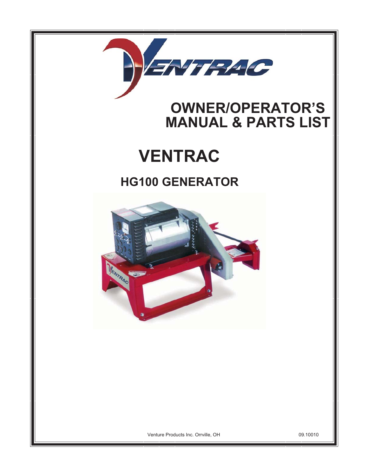

## **OWNER/OPERATOR'S MANUAL & PARTS LIST**

## **VENTRAC**

## **HG100 GENERATOR**



Venture Products Inc. Orrville, OH

09.10010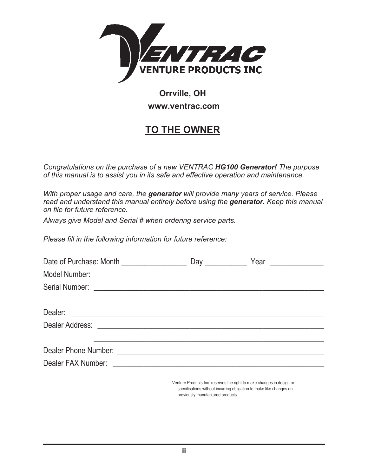

### **Orrville, OH www.ventrac.com**

## **TO THE OWNER**

*Congratulations on the purchase of a new VENTRAC HG100 Generator! The purpose of this manual is to assist you in its safe and effective operation and maintenance.*

*With proper usage and care, the generator will provide many years of service. Please read and understand this manual entirely before using the generator. Keep this manual on file for future reference.*

*Always give Model and Serial # when ordering service parts.*

*Please fill in the following information for future reference:*

| Date of Purchase: Month ___________________ |  |  |
|---------------------------------------------|--|--|
|                                             |  |  |
|                                             |  |  |
|                                             |  |  |
|                                             |  |  |
|                                             |  |  |
|                                             |  |  |
|                                             |  |  |
|                                             |  |  |
|                                             |  |  |

Venture Products Inc. reserves the right to make changes in design or specifications without incurring obligation to make like changes on previously manufactured products.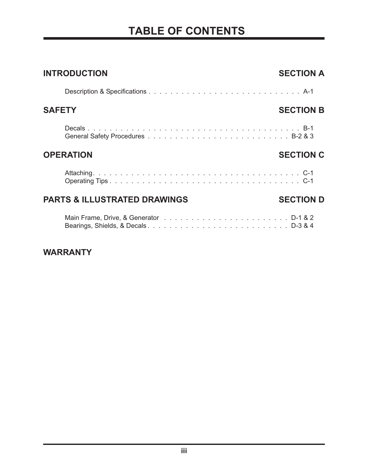## **TABLE OF CONTENTS**

| <b>INTRODUCTION</b>                     | <b>SECTION A</b> |
|-----------------------------------------|------------------|
|                                         |                  |
| <b>SAFETY</b>                           | <b>SECTION B</b> |
|                                         |                  |
| <b>OPERATION</b>                        | <b>SECTION C</b> |
|                                         |                  |
| <b>PARTS &amp; ILLUSTRATED DRAWINGS</b> | <b>SECTION D</b> |
| Bearings, Shields, & DecalsD-3 & 4      |                  |

#### **WARRANTY**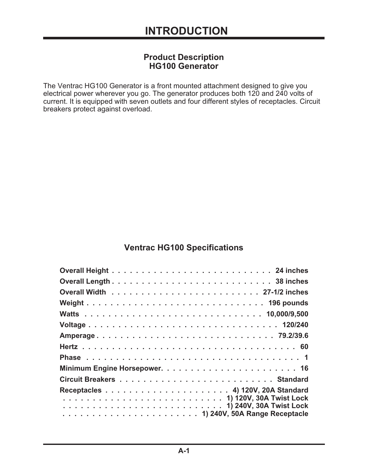#### **Product Description HG100 Generator**

The Ventrac HG100 Generator is a front mounted attachment designed to give you electrical power wherever you go. The generator produces both 120 and 240 volts of current. It is equipped with seven outlets and four different styles of receptacles. Circuit breakers protect against overload.

#### **Ventrac HG100 Specifications**

| Weight 196 pounds |
|-------------------|
|                   |
|                   |
|                   |
|                   |
|                   |
|                   |
|                   |
|                   |
|                   |
|                   |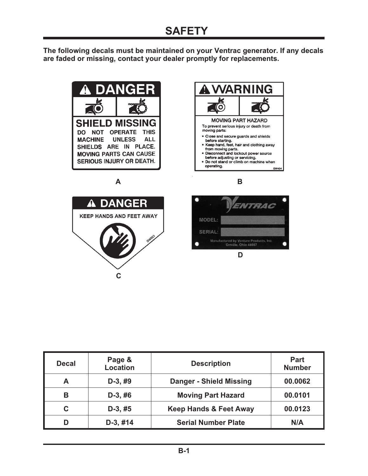## **SAFETY**

**The following decals must be maintained on your Ventrac generator. If any decals are faded or missing, contact your dealer promptly for replacements.**



| <b>Decal</b> | Page &<br><b>Location</b> | <b>Description</b>                | <b>Part</b><br><b>Number</b> |
|--------------|---------------------------|-----------------------------------|------------------------------|
| A            | $D-3, #9$                 | <b>Danger - Shield Missing</b>    | 00.0062                      |
| В            | $D-3, #6$                 | <b>Moving Part Hazard</b>         | 00.0101                      |
| С            | $D-3, #5$                 | <b>Keep Hands &amp; Feet Away</b> | 00.0123                      |
|              | $D-3, #14$                | <b>Serial Number Plate</b>        | N/A                          |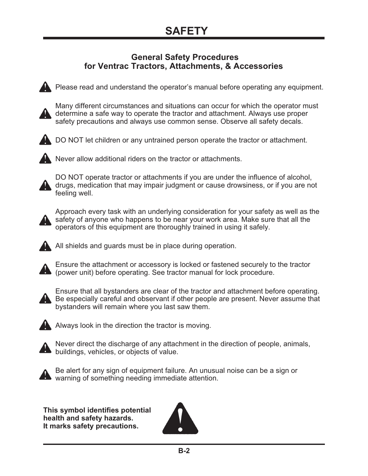#### **General Safety Procedures for Ventrac Tractors, Attachments, & Accessories**



Please read and understand the operator's manual before operating any equipment.



Many different circumstances and situations can occur for which the operator must determine a safe way to operate the tractor and attachment. Always use proper safety precautions and always use common sense. Observe all safety decals.



DO NOT let children or any untrained person operate the tractor or attachment.



Never allow additional riders on the tractor or attachments.



DO NOT operate tractor or attachments if you are under the influence of alcohol, drugs, medication that may impair judgment or cause drowsiness, or if you are not feeling well.



Approach every task with an underlying consideration for your safety as well as the safety of anyone who happens to be near your work area. Make sure that all the operators of this equipment are thoroughly trained in using it safely.



All shields and guards must be in place during operation.



Ensure the attachment or accessory is locked or fastened securely to the tractor (power unit) before operating. See tractor manual for lock procedure.



Ensure that all bystanders are clear of the tractor and attachment before operating. Be especially careful and observant if other people are present. Never assume that bystanders will remain where you last saw them.



Always look in the direction the tractor is moving.



Never direct the discharge of any attachment in the direction of people, animals, **A** buildings, vehicles, or objects of value.



Be alert for any sign of equipment failure. An unusual noise can be a sign or warning of something needing immediate attention.

**This symbol identifies potential health and safety hazards. It marks safety precautions.**

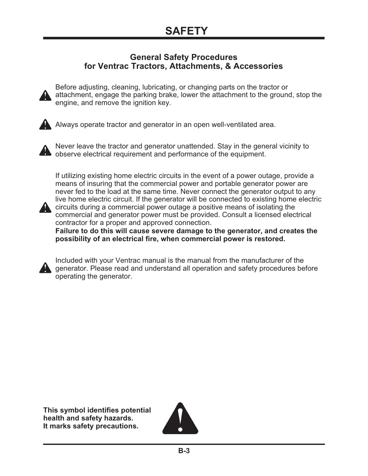#### **General Safety Procedures for Ventrac Tractors, Attachments, & Accessories**



Before adjusting, cleaning, lubricating, or changing parts on the tractor or attachment, engage the parking brake, lower the attachment to the ground, stop the engine, and remove the ignition key.



Always operate tractor and generator in an open well-ventilated area.



Never leave the tractor and generator unattended. Stay in the general vicinity to observe electrical requirement and performance of the equipment.

If utilizing existing home electric circuits in the event of a power outage, provide a means of insuring that the commercial power and portable generator power are never fed to the load at the same time. Never connect the generator output to any live home electric circuit. If the generator will be connected to existing home electric **A** circuits during a commercial power outage a positive means of isolating the



commercial and generator power must be provided. Consult a licensed electrical contractor for a proper and approved connection.

**Failure to do this will cause severe damage to the generator, and creates the possibility of an electrical fire, when commercial power is restored.**



Included with your Ventrac manual is the manual from the manufacturer of the **A generator. Please read and understand all operation and safety procedures before** operating the generator.

**This symbol identifies potential health and safety hazards. It marks safety precautions.**

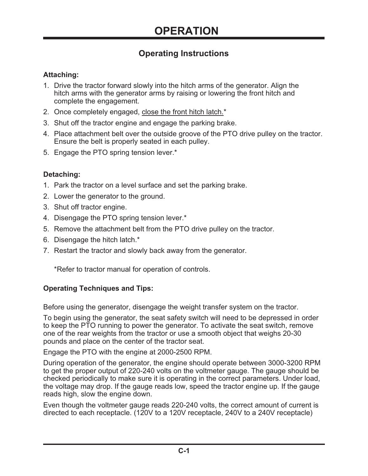#### **Operating Instructions**

#### **Attaching:**

- 1. Drive the tractor forward slowly into the hitch arms of the generator. Align the hitch arms with the generator arms by raising or lowering the front hitch and complete the engagement.
- 2. Once completely engaged, close the front hitch latch.<sup>\*</sup>
- 3. Shut off the tractor engine and engage the parking brake.
- 4. Place attachment belt over the outside groove of the PTO drive pulley on the tractor. Ensure the belt is properly seated in each pulley.
- 5. Engage the PTO spring tension lever.\*

#### **Detaching:**

- 1. Park the tractor on a level surface and set the parking brake.
- 2. Lower the generator to the ground.
- 3. Shut off tractor engine.
- 4. Disengage the PTO spring tension lever.\*
- 5. Remove the attachment belt from the PTO drive pulley on the tractor.
- 6. Disengage the hitch latch.\*
- 7. Restart the tractor and slowly back away from the generator.

\*Refer to tractor manual for operation of controls.

#### **Operating Techniques and Tips:**

Before using the generator, disengage the weight transfer system on the tractor.

To begin using the generator, the seat safety switch will need to be depressed in order to keep the PTO running to power the generator. To activate the seat switch, remove one of the rear weights from the tractor or use a smooth object that weighs 20-30 pounds and place on the center of the tractor seat.

Engage the PTO with the engine at 2000-2500 RPM.

During operation of the generator, the engine should operate between 3000-3200 RPM to get the proper output of 220-240 volts on the voltmeter gauge. The gauge should be checked periodically to make sure it is operating in the correct parameters. Under load, the voltage may drop. If the gauge reads low, speed the tractor engine up. If the gauge reads high, slow the engine down.

Even though the voltmeter gauge reads 220-240 volts, the correct amount of current is directed to each receptacle. (120V to a 120V receptacle, 240V to a 240V receptacle)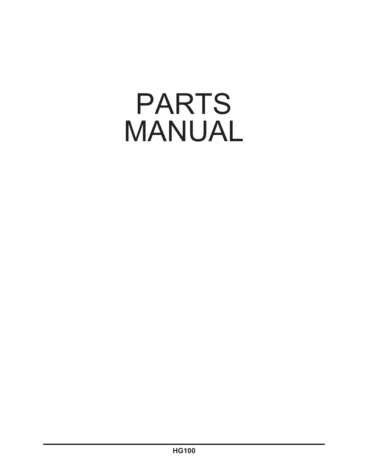# PARTS MANUAL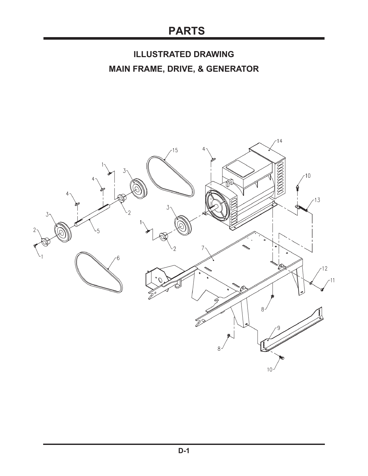## **PARTS**

## **ILLUSTRATED DRAWING MAIN FRAME, DRIVE, & GENERATOR**

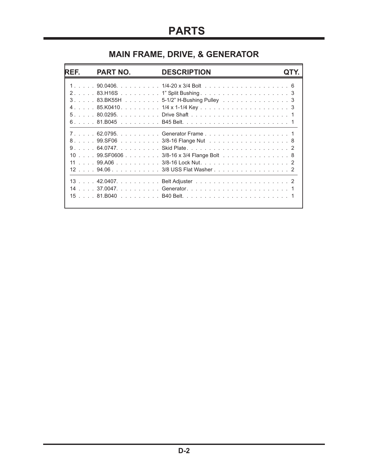## **MAIN FRAME, DRIVE, & GENERATOR**

| REF. | PART NO. | <b>DESCRIPTION</b>                                                                                                                           |  |
|------|----------|----------------------------------------------------------------------------------------------------------------------------------------------|--|
|      |          | 3. 83.BK55H 5-1/2" H-Bushing Pulley 3                                                                                                        |  |
|      |          | 7. 62.0795. Generator Frame 1<br>8. 99.SF06 3/8-16 Flange Nut 8<br>10 99.SF0606 3/8-16 x 3/4 Flange Bolt 8<br>12 94.06 3/8 USS Flat Washer 2 |  |
|      |          |                                                                                                                                              |  |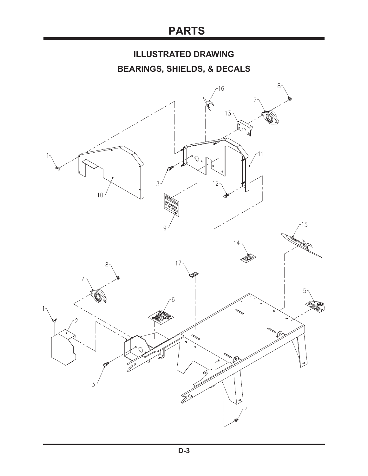## **PARTS**

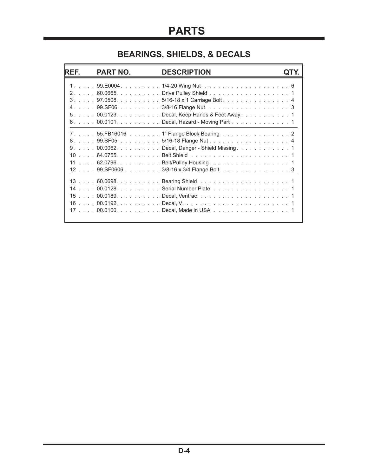## **BEARINGS, SHIELDS, & DECALS**

| REF. | <b>PART NO.</b>                                      | <b>DESCRIPTION</b>                                                                                                                                                                   |  |
|------|------------------------------------------------------|--------------------------------------------------------------------------------------------------------------------------------------------------------------------------------------|--|
|      | $5. 00.0123.$<br>$6. \ldots 00.0101. \ldots 0.0101.$ | 2. 60.0665. Drive Pulley Shield 1<br>3. 97.0508. 5/16-18 x 1 Carriage Bolt. 4<br>4. 99.SF06 3/8-16 Flange Nut 3<br>Decal, Hazard - Moving Part 1                                     |  |
|      | 7. 55.FB16016<br>8. 99.SF05                          | 1" Flange Block Bearing 2<br>5/16-18 Flange Nut. 4<br>9. 00.0062. Decal, Danger - Shield Missing. 1<br>11 62.0796. Belt/Pulley Housing. 1<br>12 99.SF0606 3/8-16 x 3/4 Flange Bolt 3 |  |
|      |                                                      | 14 00.0128. Serial Number Plate 1<br>17 00.0100. Decal, Made in USA 1                                                                                                                |  |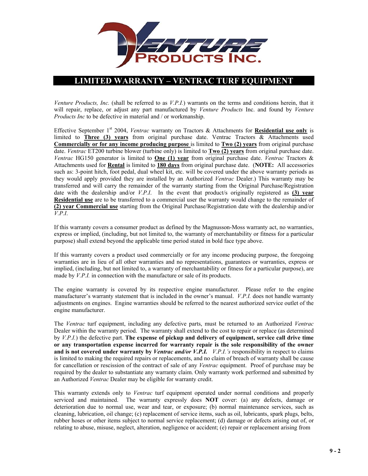

#### **LIMITED WARRANTY – VENTRAC TURF EQUIPMENT**

*Venture Products, Inc.* (shall be referred to as *V.P.I.*) warrants on the terms and conditions herein, that it will repair, replace, or adjust any part manufactured by *Venture Products* Inc. and found by *Venture Products Inc* to be defective in material and / or workmanship.

Effective September 1<sup>st</sup> 2004, *Ventrac* warranty on Tractors & Attachments for **Residential use only** is limited to **Three (3) years** from original purchase date. Ventrac Tractors & Attachments used **Commercially or for any income producing purpose** is limited to **Two (2) years** from original purchase date. *Ventrac* ET200 turbine blower (turbine only) is limited to **Two (2) years** from original purchase date. *Ventrac* HG150 generator is limited to **One (1) year** from original purchase date. *Ventrac* Tractors & Attachments used for **Rental** is limited to **180 days** from original purchase date. (**NOTE:** All accessories such as: 3-point hitch, foot pedal, dual wheel kit, etc. will be covered under the above warranty periods as they would apply provided they are installed by an Authorized *Ventrac* Dealer.) This warranty may be transferred and will carry the remainder of the warranty starting from the Original Purchase/Registration date with the dealership and/or *V.P.I*. In the event that product/s originally registered as **(3) year Residential use** are to be transferred to a commercial user the warranty would change to the remainder of **(2) year Commercial use** starting from the Original Purchase/Registration date with the dealership and/or *V.P.I*.

If this warranty covers a consumer product as defined by the Magnusson-Moss warranty act, no warranties, express or implied, (including, but not limited to, the warranty of merchantability or fitness for a particular purpose) shall extend beyond the applicable time period stated in bold face type above.

If this warranty covers a product used commercially or for any income producing purpose, the foregoing warranties are in lieu of all other warranties and no representations, guarantees or warranties, express or implied, (including, but not limited to, a warranty of merchantability or fitness for a particular purpose), are made by *V.P.I.* in connection with the manufacture or sale of its products.

The engine warranty is covered by its respective engine manufacturer. Please refer to the engine manufacturer's warranty statement that is included in the owner's manual. *V.P.I.* does not handle warranty adjustments on engines. Engine warranties should be referred to the nearest authorized service outlet of the engine manufacturer.

The *Ventrac* turf equipment, including any defective parts, must be returned to an Authorized *Ventrac* Dealer within the warranty period. The warranty shall extend to the cost to repair or replace (as determined by *V.P.I.*) the defective part. **The expense of pickup and delivery of equipment, service call drive time or any transportation expense incurred for warranty repair is the sole responsibility of the owner and is not covered under warranty by** *Ventrac and/or V.P.I. V.P.I.'s* responsibility in respect to claims is limited to making the required repairs or replacements, and no claim of breach of warranty shall be cause for cancellation or rescission of the contract of sale of any *Ventrac* equipment. Proof of purchase may be required by the dealer to substantiate any warranty claim. Only warranty work performed and submitted by an Authorized *Ventrac* Dealer may be eligible for warranty credit.

This warranty extends only to *Ventrac* turf equipment operated under normal conditions and properly serviced and maintained. The warranty expressly does **NOT** cover: (a) any defects, damage or deterioration due to normal use, wear and tear, or exposure; (b) normal maintenance services, such as cleaning, lubrication, oil change; (c) replacement of service items, such as oil, lubricants, spark plugs, belts, rubber hoses or other items subject to normal service replacement; (d) damage or defects arising out of, or relating to abuse, misuse, neglect, alteration, negligence or accident; (e) repair or replacement arising from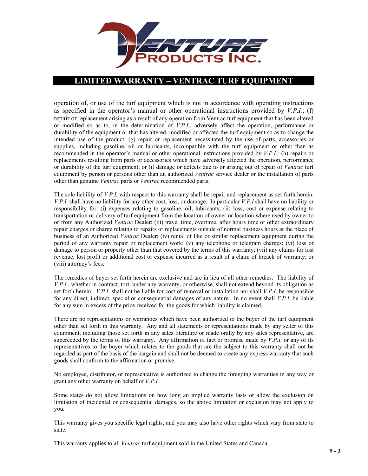

#### **LIMITED WARRANTY – VENTRAC TURF EQUIPMENT**

operation of, or use of the turf equipment which is not in accordance with operating instructions as specified in the operator's manual or other operational instructions provided by *V.P.I.*; (f) repair or replacement arising as a result of any operation from Ventrac turf equipment that has been altered or modified so as to, in the determination of *V.P.I.*, adversely affect the operation, performance or durability of the equipment or that has altered, modified or affected the turf equipment so as to change the intended use of the product; (g) repair or replacement necessitated by the use of parts, accessories or supplies, including gasoline, oil or lubricants, incompatible with the turf equipment or other than as recommended in the operator's manual or other operational instructions provided by *V.P.I.;* (h) repairs or replacements resulting from parts or accessories which have adversely affected the operation, performance or durability of the turf equipment; or (i) damage or defects due to or arising out of repair of *Ventrac* turf equipment by person or persons other than an authorized *Ventrac* service dealer or the installation of parts other than genuine *Ventrac* parts or *Ventrac* recommended parts.

The sole liability of *V.P.I.* with respect to this warranty shall be repair and replacement as set forth herein. *V.P.I.* shall have no liability for any other cost, loss, or damage. In particular *V.P.I* shall have no liability or responsibility for: (i) expenses relating to gasoline, oil, lubricants; (ii) loss, cost or expense relating to transportation or delivery of turf equipment from the location of owner or location where used by owner to or from any Authorized *Ventrac* Dealer; (iii) travel time, overtime, after hours time or other extraordinary repair charges or charge relating to repairs or replacements outside of normal business hours at the place of business of an Authorized *Ventrac* Dealer; (iv) rental of like or similar replacement equipment during the period of any warranty repair or replacement work; (v) any telephone or telegram charges; (vi) loss or damage to person or property other than that covered by the terms of this warranty; (vii) any claims for lost revenue, lost profit or additional cost or expense incurred as a result of a claim of breach of warranty; or (viii) attorney's fees.

The remedies of buyer set forth herein are exclusive and are in lieu of all other remedies. The liability of *V.P.I*., whether in contract, tort, under any warranty, or otherwise, shall not extend beyond its obligation as set forth herein. *V.P.I*. shall not be liable for cost of removal or installation nor shall *V.P.I*. be responsible for any direct, indirect, special or consequential damages of any nature. In no event shall *V.P.I.* be liable for any sum in excess of the price received for the goods for which liability is claimed.

There are no representations or warranties which have been authorized to the buyer of the turf equipment other than set forth in this warranty. Any and all statements or representations made by any seller of this equipment, including those set forth in any sales literature or made orally by any sales representative, are superceded by the terms of this warranty. Any affirmation of fact or promise made by *V.P.I.* or any of its representatives to the buyer which relates to the goods that are the subject to this warranty shall not be regarded as part of the basis of the bargain and shall not be deemed to create any express warranty that such goods shall conform to the affirmation or promise.

No employee, distributor, or representative is authorized to change the foregoing warranties in any way or grant any other warranty on behalf of *V.P.I.*

Some states do not allow limitations on how long an implied warranty lasts or allow the exclusion on limitation of incidental or consequential damages, so the above limitation or exclusion may not apply to you.

This warranty gives you specific legal rights, and you may also have other rights which vary from state to state.

This warranty applies to all *Ventrac* turf equipment sold in the United States and Canada.